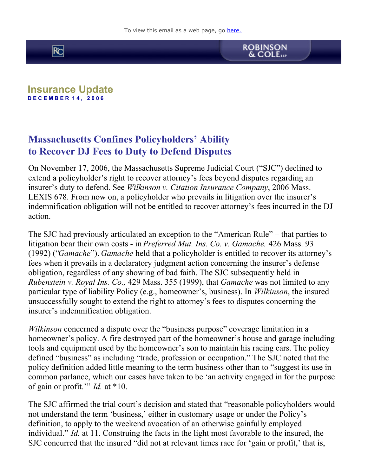



## **Insurance Update D E C E M B E R 1 4 , 2 0 0 6**

## **Massachusetts Confines Policyholders' Ability to Recover DJ Fees to Duty to Defend Disputes**

On November 17, 2006, the Massachusetts Supreme Judicial Court ("SJC") declined to extend a policyholder's right to recover attorney's fees beyond disputes regarding an insurer's duty to defend. See *Wilkinson v. Citation Insurance Company*, 2006 Mass. LEXIS 678. From now on, a policyholder who prevails in litigation over the insurer's indemnification obligation will not be entitled to recover attorney's fees incurred in the DJ action.

The SJC had previously articulated an exception to the "American Rule" – that parties to litigation bear their own costs - in *Preferred Mut. Ins. Co. v. Gamache,* 426 Mass. 93 (1992) ("*Gamache*"). *Gamache* held that a policyholder is entitled to recover its attorney's fees when it prevails in a declaratory judgment action concerning the insurer's defense obligation, regardless of any showing of bad faith. The SJC subsequently held in *Rubenstein v. Royal Ins. Co.,* 429 Mass. 355 (1999), that *Gamache* was not limited to any particular type of liability Policy (e.g., homeowner's, business). In *Wilkinson*, the insured unsuccessfully sought to extend the right to attorney's fees to disputes concerning the insurer's indemnification obligation.

*Wilkinson* concerned a dispute over the "business purpose" coverage limitation in a homeowner's policy. A fire destroyed part of the homeowner's house and garage including tools and equipment used by the homeowner's son to maintain his racing cars. The policy defined "business" as including "trade, profession or occupation." The SJC noted that the policy definition added little meaning to the term business other than to "suggest its use in common parlance, which our cases have taken to be 'an activity engaged in for the purpose of gain or profit.'" *Id.* at \*10.

The SJC affirmed the trial court's decision and stated that "reasonable policyholders would not understand the term 'business,' either in customary usage or under the Policy's definition, to apply to the weekend avocation of an otherwise gainfully employed individual." *Id.* at 11. Construing the facts in the light most favorable to the insured, the SJC concurred that the insured "did not at relevant times race for 'gain or profit,' that is,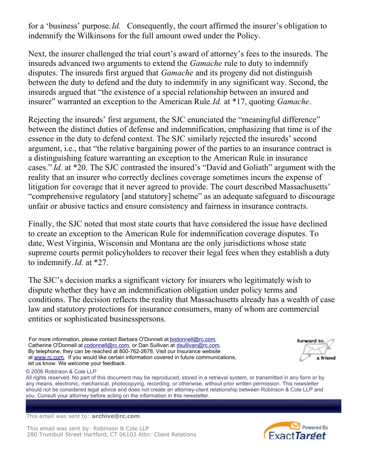for a 'business' purpose. *Id.* Consequently, the court affirmed the insurer's obligation to indemnify the Wilkinsons for the full amount owed under the Policy.

Next, the insurer challenged the trial court's award of attorney's fees to the insureds. The insureds advanced two arguments to extend the *Gamache* rule to duty to indemnify disputes. The insureds first argued that *Gamache* and its progeny did not distinguish between the duty to defend and the duty to indemnify in any significant way. Second, the insureds argued that "the existence of a special relationship between an insured and insurer" warranted an exception to the American Rule. *Id.* at \*17, quoting *Gamache*.

Rejecting the insureds' first argument, the SJC enunciated the "meaningful difference" between the distinct duties of defense and indemnification, emphasizing that time is of the essence in the duty to defend context. The SJC similarly rejected the insureds' second argument, i.e., that "the relative bargaining power of the parties to an insurance contract is a distinguishing feature warranting an exception to the American Rule in insurance cases." *Id.* at \*20. The SJC contrasted the insured's "David and Goliath" argument with the reality that an insurer who correctly declines coverage sometimes incurs the expense of litigation for coverage that it never agreed to provide. The court described Massachusetts' "comprehensive regulatory [and statutory] scheme" as an adequate safeguard to discourage unfair or abusive tactics and ensure consistency and fairness in insurance contracts.

Finally, the SJC noted that most state courts that have considered the issue have declined to create an exception to the American Rule for indemnification coverage disputes. To date, West Virginia, Wisconsin and Montana are the only jurisdictions whose state supreme courts permit policyholders to recover their legal fees when they establish a duty to indemnify. *Id.* at \*27.

The SJC's decision marks a significant victory for insurers who legitimately wish to dispute whether they have an indemnification obligation under policy terms and conditions. The decision reflects the reality that Massachusetts already has a wealth of case law and statutory protections for insurance consumers, many of whom are commercial entities or sophisticated businesspersons.

For more information, please contact Barbara O'Donnell at [bodonnell@rc.com](mailto:bodonnell@rc.com), Catherine O'Donnell at [codonnell@rc.com](mailto:codonnell@rc.com), or Dan Sullivan at [dsullivan@rc.com](mailto:dsullivan@rc.com). By telephone, they can be reached at 800-762-2678. Visit our Insurance website at [www.rc.com](http://www.rc.com/). If you would like certain information covered in future communications, let us know. We welcome your feedback.

© 2006 Robinson & Cole LLP

All rights reserved. No part of this document may be reproduced, stored in a retrieval system, or transmitted in any form or by any means, electronic, mechanical, photocopying, recording, or otherwise, without prior written permission. This newsletter should not be considered legal advice and does not create an attorney-client relationship between Robinson & Cole LLP and you. Consult your attorney before acting on the information in this newsletter.

This email was sent to: **archive@rc.com**

This email was sent by: Robinson & Cole LLP 280 Trumbull Street Hartford, CT 06103 Attn: Client Relations



forward to a friend